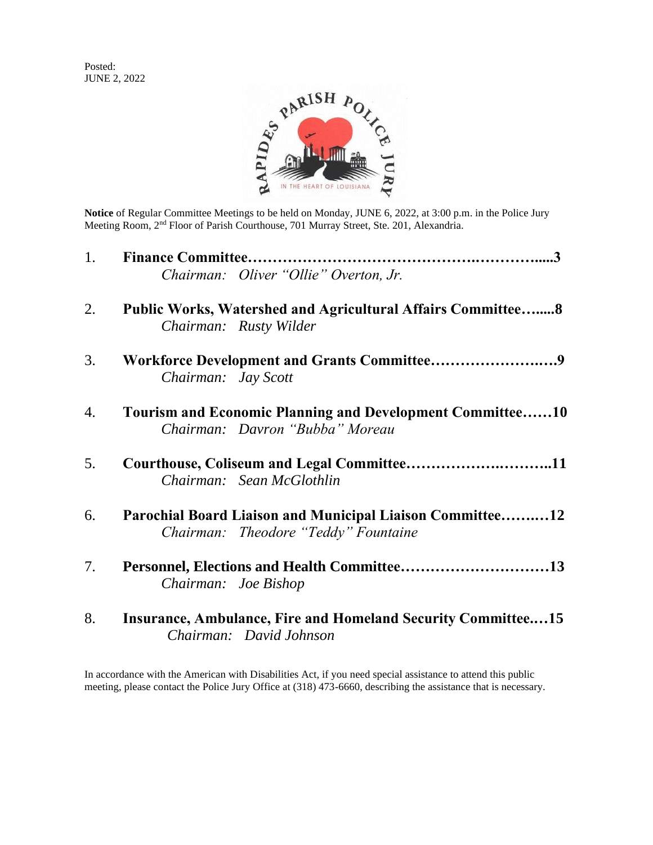Posted: JUNE 2, 2022



**Notice** of Regular Committee Meetings to be held on Monday, JUNE 6, 2022, at 3:00 p.m. in the Police Jury Meeting Room, 2<sup>nd</sup> Floor of Parish Courthouse, 701 Murray Street, Ste. 201, Alexandria.

| 1. |                                                                                                     |  |  |
|----|-----------------------------------------------------------------------------------------------------|--|--|
|    | Chairman: Oliver "Ollie" Overton, Jr.                                                               |  |  |
| 2. | <b>Public Works, Watershed and Agricultural Affairs Committee 8</b><br>Chairman: Rusty Wilder       |  |  |
| 3. | Chairman: Jay Scott                                                                                 |  |  |
| 4. | <b>Tourism and Economic Planning and Development Committee10</b><br>Chairman: Davron "Bubba" Moreau |  |  |
| 5. | Courthouse, Coliseum and Legal Committee11<br>Chairman: Sean McGlothlin                             |  |  |
| 6. | Parochial Board Liaison and Municipal Liaison Committee12<br>Chairman: Theodore "Teddy" Fountaine   |  |  |
| 7. | Chairman: Joe Bishop                                                                                |  |  |
| 8. | Insurance, Ambulance, Fire and Homeland Security Committee15<br>Chairman: David Johnson             |  |  |

In accordance with the American with Disabilities Act, if you need special assistance to attend this public meeting, please contact the Police Jury Office at (318) 473-6660, describing the assistance that is necessary.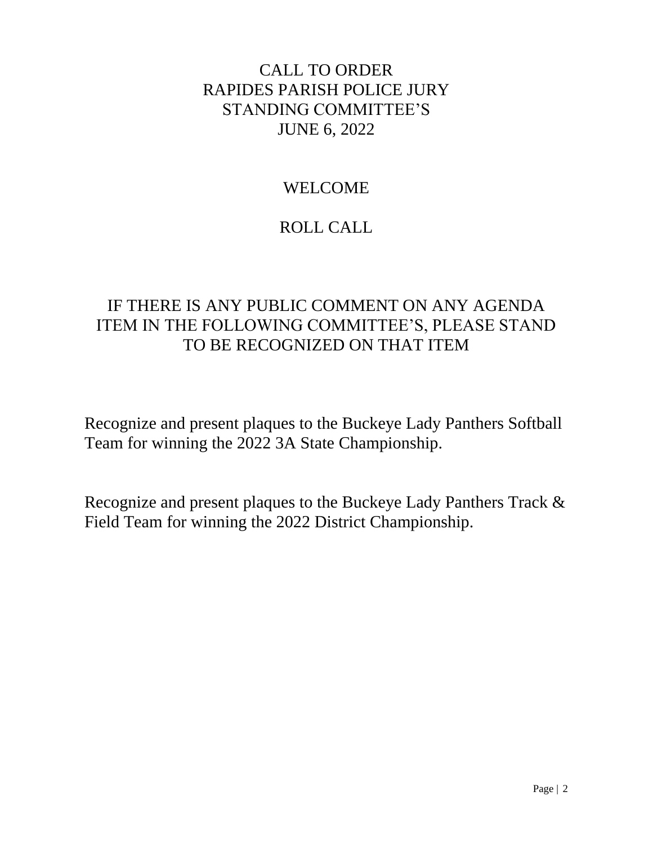# CALL TO ORDER RAPIDES PARISH POLICE JURY STANDING COMMITTEE'S JUNE 6, 2022

# WELCOME

# ROLL CALL

# IF THERE IS ANY PUBLIC COMMENT ON ANY AGENDA ITEM IN THE FOLLOWING COMMITTEE'S, PLEASE STAND TO BE RECOGNIZED ON THAT ITEM

Recognize and present plaques to the Buckeye Lady Panthers Softball Team for winning the 2022 3A State Championship.

Recognize and present plaques to the Buckeye Lady Panthers Track & Field Team for winning the 2022 District Championship.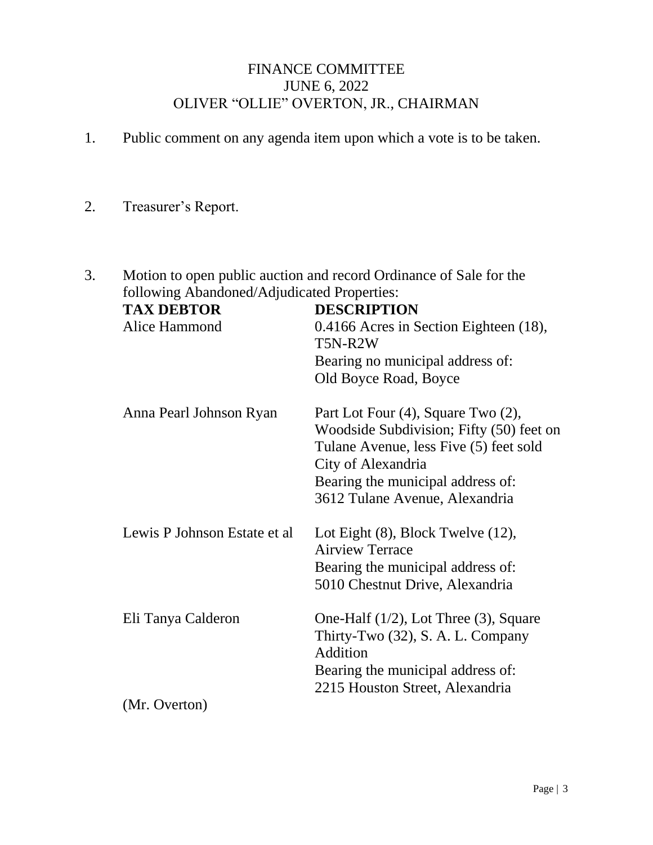## FINANCE COMMITTEE JUNE 6, 2022 OLIVER "OLLIE" OVERTON, JR., CHAIRMAN

- 1. Public comment on any agenda item upon which a vote is to be taken.
- 2. Treasurer's Report.
- 3. Motion to open public auction and record Ordinance of Sale for the following Abandoned/Adjudicated Properties:

| <b>TAX DEBTOR</b>            | <b>DESCRIPTION</b>                                                                                                                                                                  |
|------------------------------|-------------------------------------------------------------------------------------------------------------------------------------------------------------------------------------|
| Alice Hammond                | 0.4166 Acres in Section Eighteen (18),<br>T5N-R2W                                                                                                                                   |
|                              | Bearing no municipal address of:                                                                                                                                                    |
|                              | Old Boyce Road, Boyce                                                                                                                                                               |
| Anna Pearl Johnson Ryan      | Part Lot Four (4), Square Two (2),<br>Woodside Subdivision; Fifty (50) feet on<br>Tulane Avenue, less Five (5) feet sold<br>City of Alexandria<br>Bearing the municipal address of: |
|                              | 3612 Tulane Avenue, Alexandria                                                                                                                                                      |
| Lewis P Johnson Estate et al | Lot Eight $(8)$ , Block Twelve $(12)$ ,<br><b>Airview Terrace</b>                                                                                                                   |
|                              | Bearing the municipal address of:<br>5010 Chestnut Drive, Alexandria                                                                                                                |
| Eli Tanya Calderon           | One-Half $(1/2)$ , Lot Three $(3)$ , Square<br>Thirty-Two (32), S. A. L. Company<br>Addition                                                                                        |
|                              | Bearing the municipal address of:<br>2215 Houston Street, Alexandria                                                                                                                |
| (Mr. Overton)                |                                                                                                                                                                                     |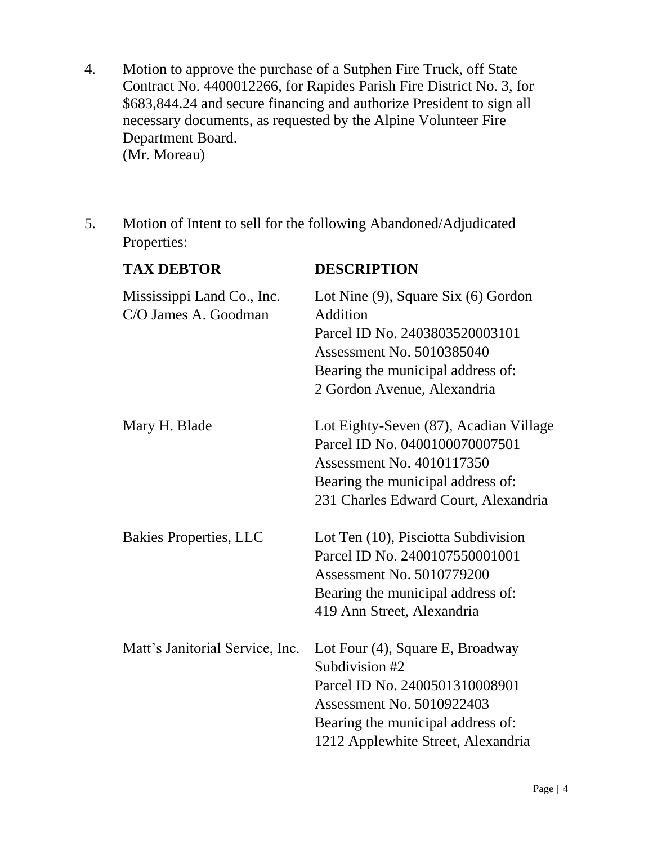- 4. Motion to approve the purchase of a Sutphen Fire Truck, off State Contract No. 4400012266, for Rapides Parish Fire District No. 3, for \$683,844.24 and secure financing and authorize President to sign all necessary documents, as requested by the Alpine Volunteer Fire Department Board. (Mr. Moreau)
- 5. Motion of Intent to sell for the following Abandoned/Adjudicated Properties:

| <b>TAX DEBTOR</b>                                  | <b>DESCRIPTION</b>                                                                                                                                                                                  |
|----------------------------------------------------|-----------------------------------------------------------------------------------------------------------------------------------------------------------------------------------------------------|
| Mississippi Land Co., Inc.<br>C/O James A. Goodman | Lot Nine $(9)$ , Square Six $(6)$ Gordon<br>Addition<br>Parcel ID No. 2403803520003101<br><b>Assessment No. 5010385040</b><br>Bearing the municipal address of:<br>2 Gordon Avenue, Alexandria      |
| Mary H. Blade                                      | Lot Eighty-Seven (87), Acadian Village<br>Parcel ID No. 0400100070007501<br>Assessment No. 4010117350<br>Bearing the municipal address of:<br>231 Charles Edward Court, Alexandria                  |
| <b>Bakies Properties, LLC</b>                      | Lot Ten (10), Pisciotta Subdivision<br>Parcel ID No. 2400107550001001<br><b>Assessment No. 5010779200</b><br>Bearing the municipal address of:<br>419 Ann Street, Alexandria                        |
| Matt's Janitorial Service, Inc.                    | Lot Four (4), Square E, Broadway<br>Subdivision #2<br>Parcel ID No. 2400501310008901<br><b>Assessment No. 5010922403</b><br>Bearing the municipal address of:<br>1212 Applewhite Street, Alexandria |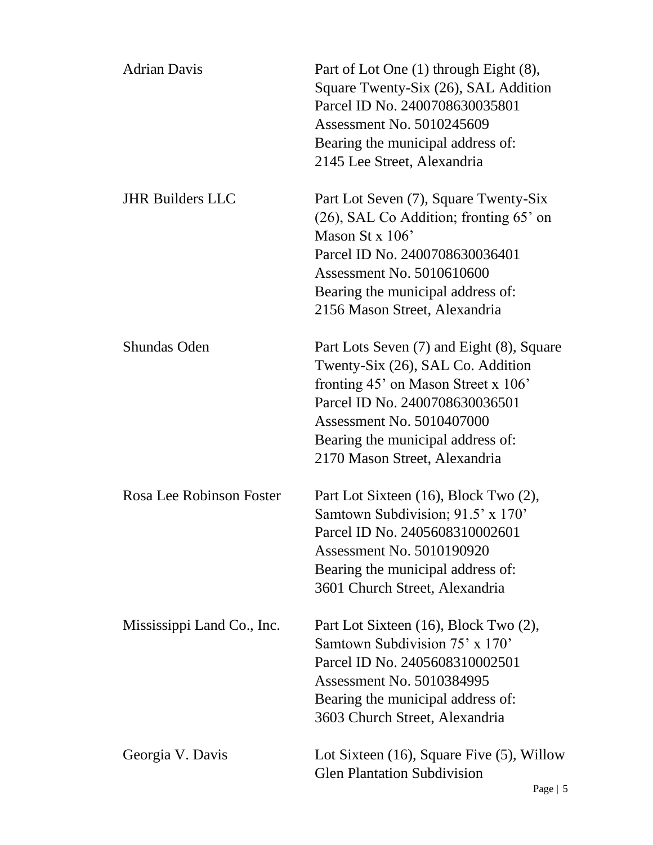| <b>Adrian Davis</b>        | Part of Lot One (1) through Eight (8),<br>Square Twenty-Six (26), SAL Addition<br>Parcel ID No. 2400708630035801<br>Assessment No. 5010245609<br>Bearing the municipal address of:<br>2145 Lee Street, Alexandria                                            |
|----------------------------|--------------------------------------------------------------------------------------------------------------------------------------------------------------------------------------------------------------------------------------------------------------|
| <b>JHR Builders LLC</b>    | Part Lot Seven (7), Square Twenty-Six<br>$(26)$ , SAL Co Addition; fronting 65' on<br>Mason St x $106'$<br>Parcel ID No. 2400708630036401<br>Assessment No. 5010610600<br>Bearing the municipal address of:<br>2156 Mason Street, Alexandria                 |
| <b>Shundas Oden</b>        | Part Lots Seven (7) and Eight (8), Square<br>Twenty-Six (26), SAL Co. Addition<br>fronting $45'$ on Mason Street x 106'<br>Parcel ID No. 2400708630036501<br>Assessment No. 5010407000<br>Bearing the municipal address of:<br>2170 Mason Street, Alexandria |
| Rosa Lee Robinson Foster   | Part Lot Sixteen (16), Block Two (2),<br>Samtown Subdivision; 91.5' x 170'<br>Parcel ID No. 2405608310002601<br>Assessment No. 5010190920<br>Bearing the municipal address of:<br>3601 Church Street, Alexandria                                             |
| Mississippi Land Co., Inc. | Part Lot Sixteen (16), Block Two (2),<br>Samtown Subdivision 75' x 170'<br>Parcel ID No. 2405608310002501<br>Assessment No. 5010384995<br>Bearing the municipal address of:<br>3603 Church Street, Alexandria                                                |
| Georgia V. Davis           | Lot Sixteen $(16)$ , Square Five $(5)$ , Willow<br><b>Glen Plantation Subdivision</b>                                                                                                                                                                        |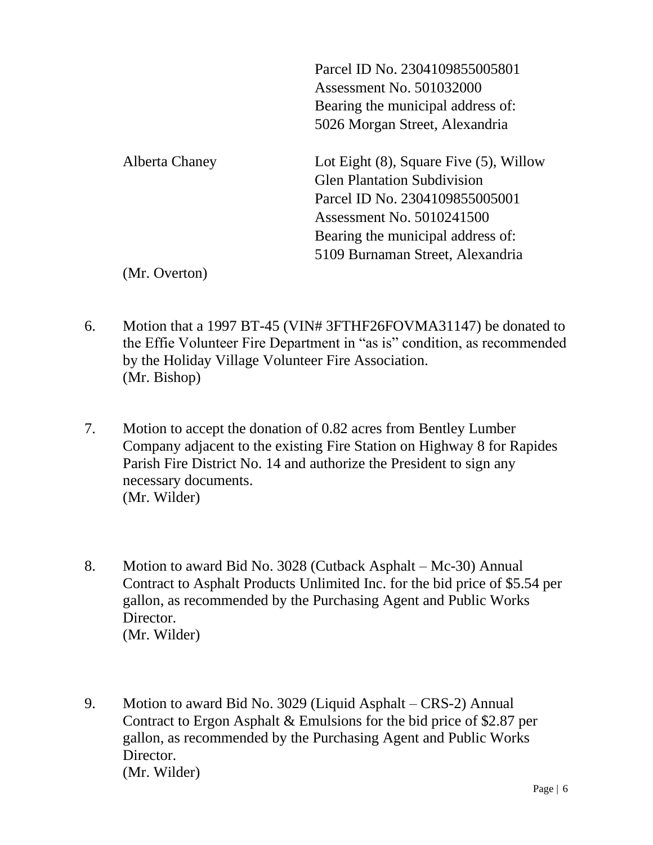|                | Parcel ID No. 2304109855005801               |
|----------------|----------------------------------------------|
|                | Assessment No. 501032000                     |
|                | Bearing the municipal address of:            |
|                | 5026 Morgan Street, Alexandria               |
| Alberta Chaney | Lot Eight $(8)$ , Square Five $(5)$ , Willow |
|                | <b>Glen Plantation Subdivision</b>           |
|                | Parcel ID No. 2304109855005001               |
|                | Assessment No. 5010241500                    |
|                | Bearing the municipal address of:            |
|                | 5109 Burnaman Street, Alexandria             |
| (Mr. Overton)  |                                              |

6. Motion that a 1997 BT-45 (VIN# 3FTHF26FOVMA31147) be donated to the Effie Volunteer Fire Department in "as is" condition, as recommended by the Holiday Village Volunteer Fire Association. (Mr. Bishop)

- 7. Motion to accept the donation of 0.82 acres from Bentley Lumber Company adjacent to the existing Fire Station on Highway 8 for Rapides Parish Fire District No. 14 and authorize the President to sign any necessary documents. (Mr. Wilder)
- 8. Motion to award Bid No. 3028 (Cutback Asphalt Mc-30) Annual Contract to Asphalt Products Unlimited Inc. for the bid price of \$5.54 per gallon, as recommended by the Purchasing Agent and Public Works Director. (Mr. Wilder)
- 9. Motion to award Bid No. 3029 (Liquid Asphalt CRS-2) Annual Contract to Ergon Asphalt & Emulsions for the bid price of \$2.87 per gallon, as recommended by the Purchasing Agent and Public Works Director. (Mr. Wilder)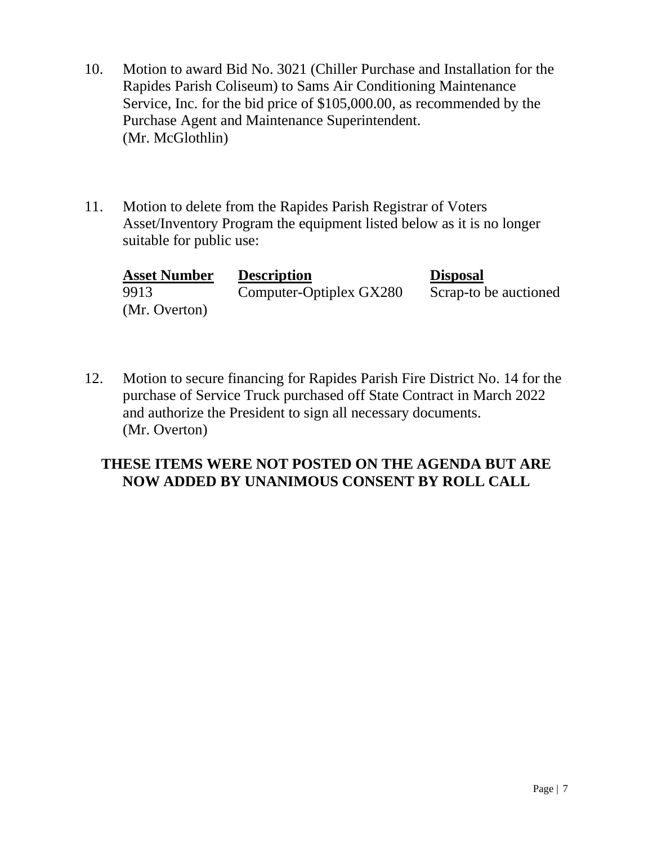- 10. Motion to award Bid No. 3021 (Chiller Purchase and Installation for the Rapides Parish Coliseum) to Sams Air Conditioning Maintenance Service, Inc. for the bid price of \$105,000.00, as recommended by the Purchase Agent and Maintenance Superintendent. (Mr. McGlothlin)
- 11. Motion to delete from the Rapides Parish Registrar of Voters Asset/Inventory Program the equipment listed below as it is no longer suitable for public use:

| <b>Asset Number</b> | <b>Description</b>      | <b>Disposal</b>       |
|---------------------|-------------------------|-----------------------|
| 9913                | Computer-Optiplex GX280 | Scrap-to be auctioned |
| (Mr. Overton)       |                         |                       |

12. Motion to secure financing for Rapides Parish Fire District No. 14 for the purchase of Service Truck purchased off State Contract in March 2022 and authorize the President to sign all necessary documents. (Mr. Overton)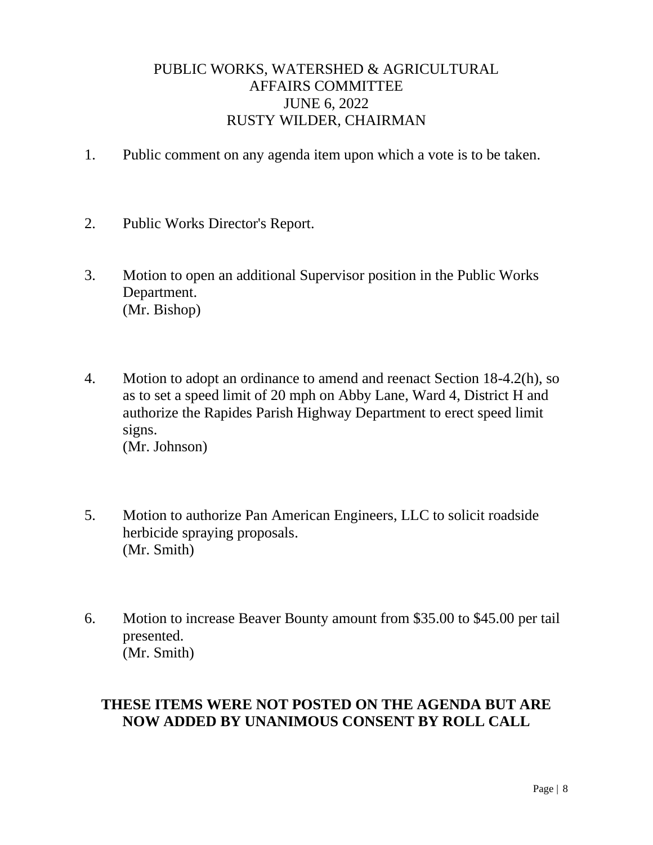## PUBLIC WORKS, WATERSHED & AGRICULTURAL AFFAIRS COMMITTEE JUNE 6, 2022 RUSTY WILDER, CHAIRMAN

- 1. Public comment on any agenda item upon which a vote is to be taken.
- 2. Public Works Director's Report.
- 3. Motion to open an additional Supervisor position in the Public Works Department. (Mr. Bishop)
- 4. Motion to adopt an ordinance to amend and reenact Section 18-4.2(h), so as to set a speed limit of 20 mph on Abby Lane, Ward 4, District H and authorize the Rapides Parish Highway Department to erect speed limit signs. (Mr. Johnson)
- 5. Motion to authorize Pan American Engineers, LLC to solicit roadside herbicide spraying proposals. (Mr. Smith)
- 6. Motion to increase Beaver Bounty amount from \$35.00 to \$45.00 per tail presented. (Mr. Smith)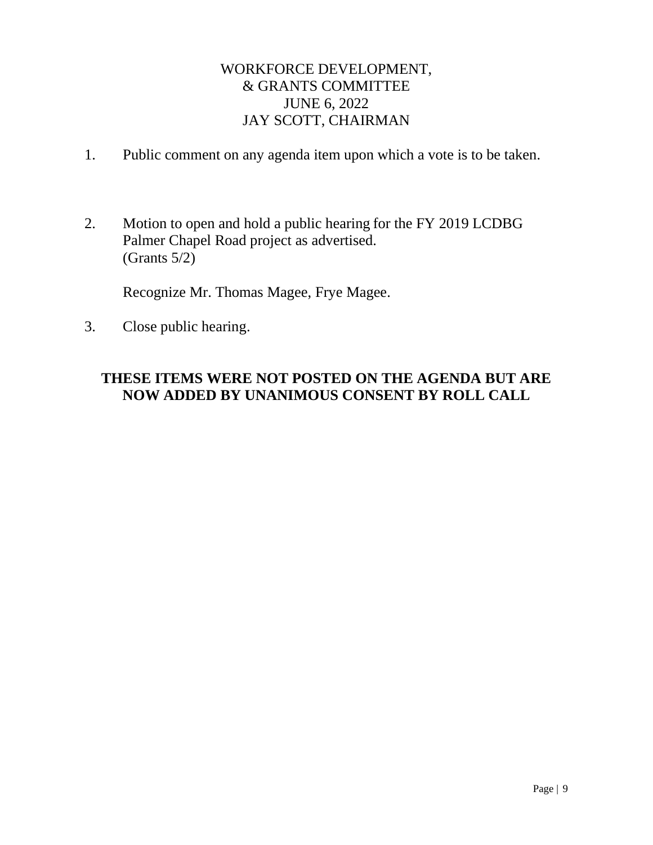## WORKFORCE DEVELOPMENT, & GRANTS COMMITTEE JUNE 6, 2022 JAY SCOTT, CHAIRMAN

- 1. Public comment on any agenda item upon which a vote is to be taken.
- 2. Motion to open and hold a public hearing for the FY 2019 LCDBG Palmer Chapel Road project as advertised. (Grants 5/2)

Recognize Mr. Thomas Magee, Frye Magee.

3. Close public hearing.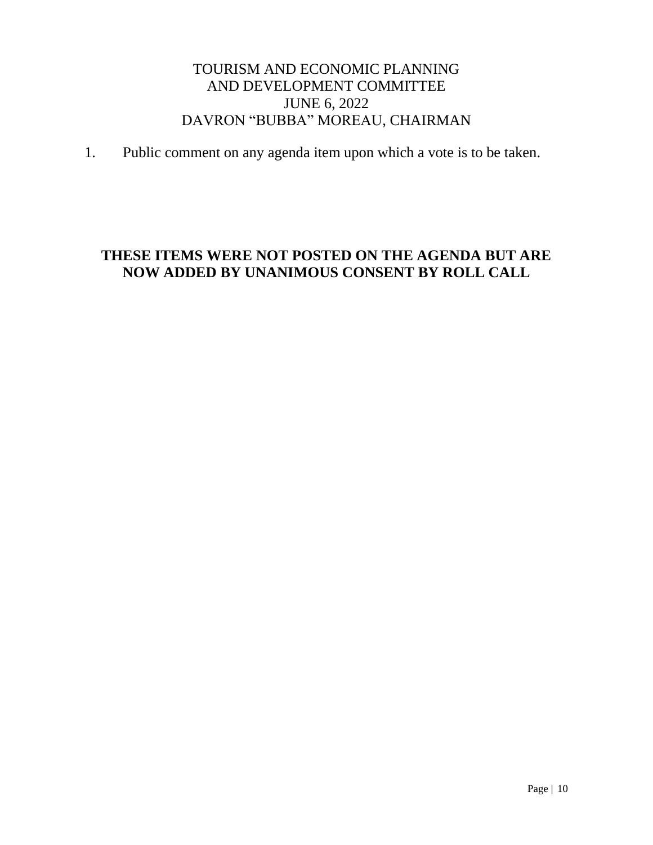## TOURISM AND ECONOMIC PLANNING AND DEVELOPMENT COMMITTEE JUNE 6, 2022 DAVRON "BUBBA" MOREAU, CHAIRMAN

1. Public comment on any agenda item upon which a vote is to be taken.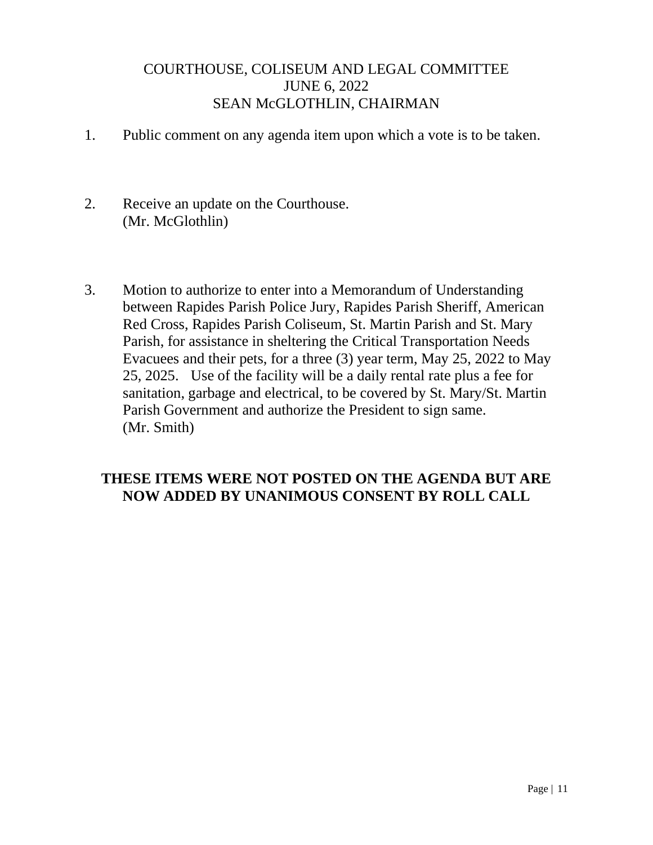#### COURTHOUSE, COLISEUM AND LEGAL COMMITTEE JUNE 6, 2022 SEAN McGLOTHLIN, CHAIRMAN

- 1. Public comment on any agenda item upon which a vote is to be taken.
- 2. Receive an update on the Courthouse. (Mr. McGlothlin)
- 3. Motion to authorize to enter into a Memorandum of Understanding between Rapides Parish Police Jury, Rapides Parish Sheriff, American Red Cross, Rapides Parish Coliseum, St. Martin Parish and St. Mary Parish, for assistance in sheltering the Critical Transportation Needs Evacuees and their pets, for a three (3) year term, May 25, 2022 to May 25, 2025. Use of the facility will be a daily rental rate plus a fee for sanitation, garbage and electrical, to be covered by St. Mary/St. Martin Parish Government and authorize the President to sign same. (Mr. Smith)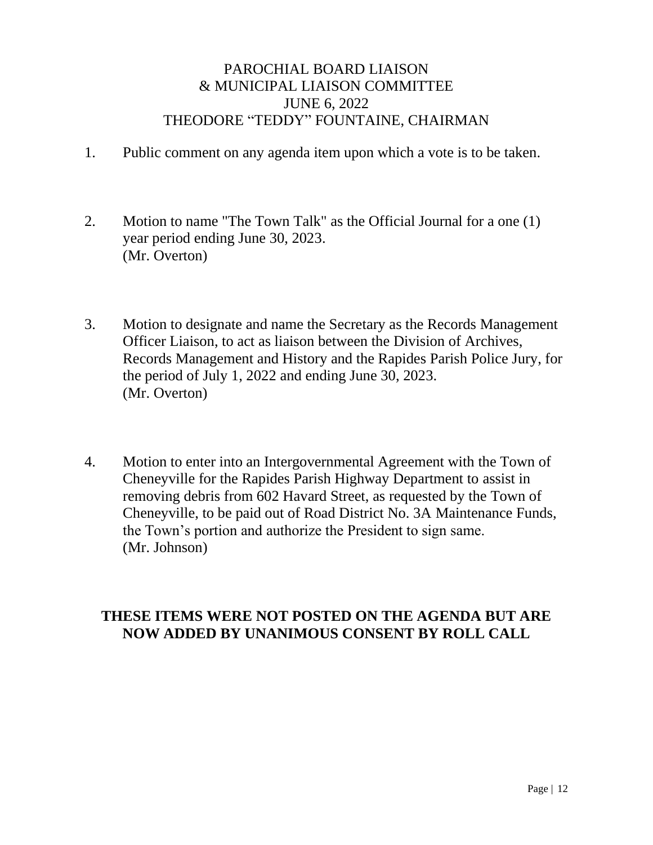#### PAROCHIAL BOARD LIAISON & MUNICIPAL LIAISON COMMITTEE JUNE 6, 2022 THEODORE "TEDDY" FOUNTAINE, CHAIRMAN

- 1. Public comment on any agenda item upon which a vote is to be taken.
- 2. Motion to name "The Town Talk" as the Official Journal for a one (1) year period ending June 30, 2023. (Mr. Overton)
- 3. Motion to designate and name the Secretary as the Records Management Officer Liaison, to act as liaison between the Division of Archives, Records Management and History and the Rapides Parish Police Jury, for the period of July 1, 2022 and ending June 30, 2023. (Mr. Overton)
- 4. Motion to enter into an Intergovernmental Agreement with the Town of Cheneyville for the Rapides Parish Highway Department to assist in removing debris from 602 Havard Street, as requested by the Town of Cheneyville, to be paid out of Road District No. 3A Maintenance Funds, the Town's portion and authorize the President to sign same. (Mr. Johnson)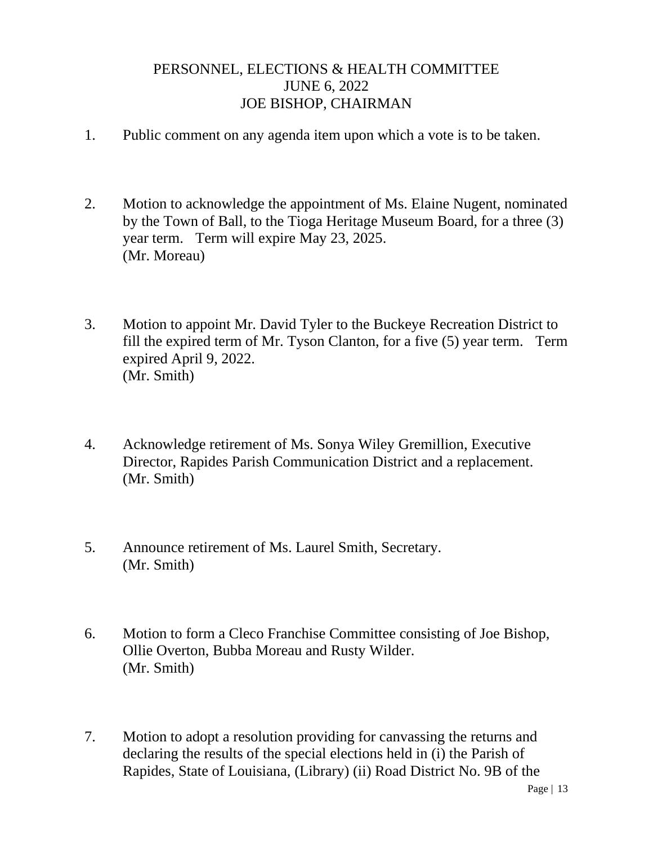#### PERSONNEL, ELECTIONS & HEALTH COMMITTEE JUNE 6, 2022 JOE BISHOP, CHAIRMAN

- 1. Public comment on any agenda item upon which a vote is to be taken.
- 2. Motion to acknowledge the appointment of Ms. Elaine Nugent, nominated by the Town of Ball, to the Tioga Heritage Museum Board, for a three (3) year term. Term will expire May 23, 2025. (Mr. Moreau)
- 3. Motion to appoint Mr. David Tyler to the Buckeye Recreation District to fill the expired term of Mr. Tyson Clanton, for a five (5) year term. Term expired April 9, 2022. (Mr. Smith)
- 4. Acknowledge retirement of Ms. Sonya Wiley Gremillion, Executive Director, Rapides Parish Communication District and a replacement. (Mr. Smith)
- 5. Announce retirement of Ms. Laurel Smith, Secretary. (Mr. Smith)
- 6. Motion to form a Cleco Franchise Committee consisting of Joe Bishop, Ollie Overton, Bubba Moreau and Rusty Wilder. (Mr. Smith)
- 7. Motion to adopt a resolution providing for canvassing the returns and declaring the results of the special elections held in (i) the Parish of Rapides, State of Louisiana, (Library) (ii) Road District No. 9B of the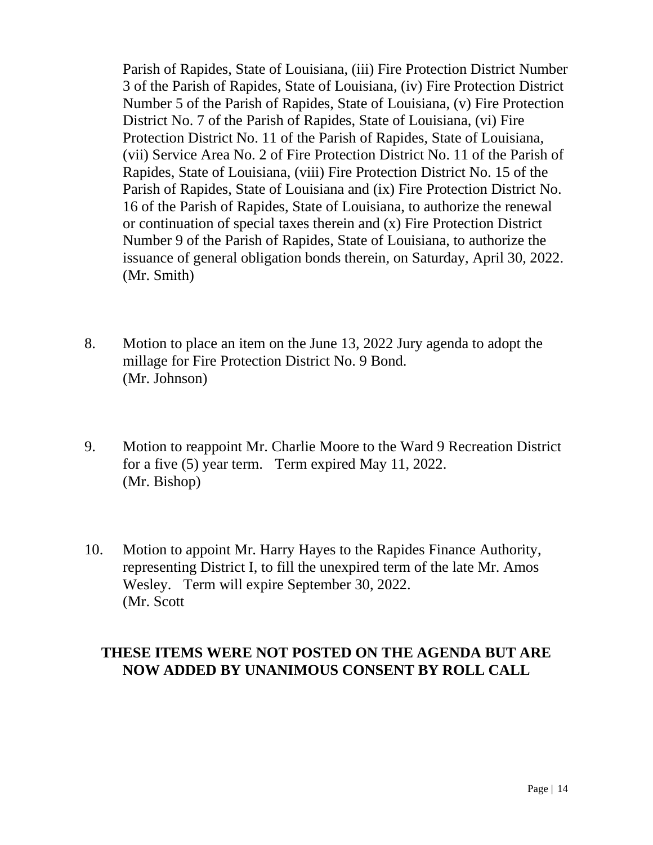Parish of Rapides, State of Louisiana, (iii) Fire Protection District Number 3 of the Parish of Rapides, State of Louisiana, (iv) Fire Protection District Number 5 of the Parish of Rapides, State of Louisiana, (v) Fire Protection District No. 7 of the Parish of Rapides, State of Louisiana, (vi) Fire Protection District No. 11 of the Parish of Rapides, State of Louisiana, (vii) Service Area No. 2 of Fire Protection District No. 11 of the Parish of Rapides, State of Louisiana, (viii) Fire Protection District No. 15 of the Parish of Rapides, State of Louisiana and (ix) Fire Protection District No. 16 of the Parish of Rapides, State of Louisiana, to authorize the renewal or continuation of special taxes therein and (x) Fire Protection District Number 9 of the Parish of Rapides, State of Louisiana, to authorize the issuance of general obligation bonds therein, on Saturday, April 30, 2022. (Mr. Smith)

- 8. Motion to place an item on the June 13, 2022 Jury agenda to adopt the millage for Fire Protection District No. 9 Bond. (Mr. Johnson)
- 9. Motion to reappoint Mr. Charlie Moore to the Ward 9 Recreation District for a five (5) year term. Term expired May 11, 2022. (Mr. Bishop)
- 10. Motion to appoint Mr. Harry Hayes to the Rapides Finance Authority, representing District I, to fill the unexpired term of the late Mr. Amos Wesley. Term will expire September 30, 2022. (Mr. Scott